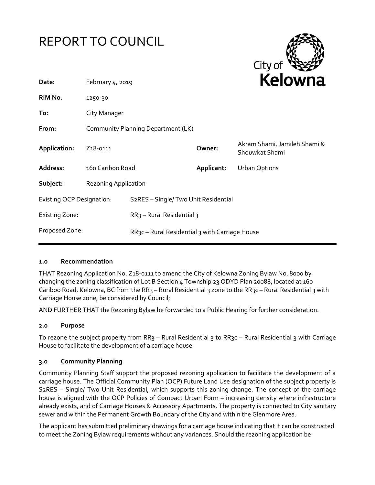



| Date:                            | February $4, 2019$                 |                                                             |            | <b>Kelowna</b>                                 |
|----------------------------------|------------------------------------|-------------------------------------------------------------|------------|------------------------------------------------|
| RIM No.                          | 1250-30                            |                                                             |            |                                                |
| To:                              | City Manager                       |                                                             |            |                                                |
| From:                            | Community Planning Department (LK) |                                                             |            |                                                |
| Application:                     | Z <sub>1</sub> 8-0111              |                                                             | Owner:     | Akram Shami, Jamileh Shami &<br>Shouwkat Shami |
| Address:                         | 160 Cariboo Road                   |                                                             | Applicant: | <b>Urban Options</b>                           |
| Subject:                         | <b>Rezoning Application</b>        |                                                             |            |                                                |
| <b>Existing OCP Designation:</b> |                                    | S <sub>2</sub> RES - Single/Two Unit Residential            |            |                                                |
| <b>Existing Zone:</b>            |                                    | $RR3$ – Rural Residential 3                                 |            |                                                |
| Proposed Zone:                   |                                    | RR <sub>3</sub> c – Rural Residential 3 with Carriage House |            |                                                |
|                                  |                                    |                                                             |            |                                                |

### **1.0 Recommendation**

THAT Rezoning Application No. Z18-0111 to amend the City of Kelowna Zoning Bylaw No. 8000 by changing the zoning classification of Lot B Section 4 Township 23 ODYD Plan 20088, located at 160 Cariboo Road, Kelowna, BC from the RR3 – Rural Residential 3 zone to the RR3c – Rural Residential 3 with Carriage House zone, be considered by Council;

AND FURTHER THAT the Rezoning Bylaw be forwarded to a Public Hearing for further consideration.

### **2.0 Purpose**

To rezone the subject property from RR3 – Rural Residential 3 to RR3c – Rural Residential 3 with Carriage House to facilitate the development of a carriage house.

### **3.0 Community Planning**

Community Planning Staff support the proposed rezoning application to facilitate the development of a carriage house. The Official Community Plan (OCP) Future Land Use designation of the subject property is S2RES – Single/ Two Unit Residential, which supports this zoning change. The concept of the carriage house is aligned with the OCP Policies of Compact Urban Form – increasing density where infrastructure already exists, and of Carriage Houses & Accessory Apartments. The property is connected to City sanitary sewer and within the Permanent Growth Boundary of the City and within the Glenmore Area.

The applicant has submitted preliminary drawings for a carriage house indicating that it can be constructed to meet the Zoning Bylaw requirements without any variances. Should the rezoning application be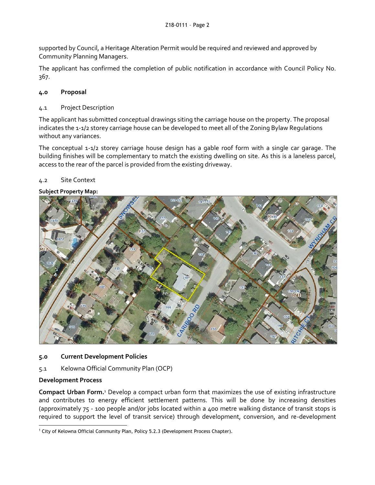supported by Council, a Heritage Alteration Permit would be required and reviewed and approved by Community Planning Managers.

The applicant has confirmed the completion of public notification in accordance with Council Policy No. 367.

# **4.0 Proposal**

## 4.1 Project Description

The applicant has submitted conceptual drawings siting the carriage house on the property. The proposal indicates the 1-1/2 storey carriage house can be developed to meet all of the Zoning Bylaw Regulations without any variances.

The conceptual 1-1/2 storey carriage house design has a gable roof form with a single car garage. The building finishes will be complementary to match the existing dwelling on site. As this is a laneless parcel, access to the rear of the parcel is provided from the existing driveway.

## 4.2 Site Context

### **Subject Property Map:**



### **5.0 Current Development Policies**

5.1 Kelowna Official Community Plan (OCP)

# **Development Process**

**Compact Urban Form.**<sup>1</sup> Develop a compact urban form that maximizes the use of existing infrastructure and contributes to energy efficient settlement patterns. This will be done by increasing densities (approximately 75 - 100 people and/or jobs located within a 400 metre walking distance of transit stops is required to support the level of transit service) through development, conversion, and re-development

<sup>-</sup><sup>1</sup> City of Kelowna Official Community Plan, Policy 5.2.3 (Development Process Chapter).